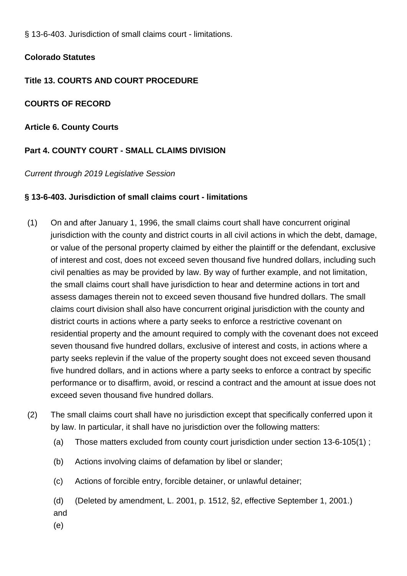§ 13-6-403. Jurisdiction of small claims court - limitations.

# **Colorado Statutes**

# **Title 13. COURTS AND COURT PROCEDURE**

**COURTS OF RECORD**

**Article 6. County Courts**

# **Part 4. COUNTY COURT - SMALL CLAIMS DIVISION**

### Current through 2019 Legislative Session

### **§ 13-6-403. Jurisdiction of small claims court - limitations**

- (1) On and after January 1, 1996, the small claims court shall have concurrent original jurisdiction with the county and district courts in all civil actions in which the debt, damage, or value of the personal property claimed by either the plaintiff or the defendant, exclusive of interest and cost, does not exceed seven thousand five hundred dollars, including such civil penalties as may be provided by law. By way of further example, and not limitation, the small claims court shall have jurisdiction to hear and determine actions in tort and assess damages therein not to exceed seven thousand five hundred dollars. The small claims court division shall also have concurrent original jurisdiction with the county and district courts in actions where a party seeks to enforce a restrictive covenant on residential property and the amount required to comply with the covenant does not exceed seven thousand five hundred dollars, exclusive of interest and costs, in actions where a party seeks replevin if the value of the property sought does not exceed seven thousand five hundred dollars, and in actions where a party seeks to enforce a contract by specific performance or to disaffirm, avoid, or rescind a contract and the amount at issue does not exceed seven thousand five hundred dollars.
- (2) The small claims court shall have no jurisdiction except that specifically conferred upon it by law. In particular, it shall have no jurisdiction over the following matters:
	- (a) Those matters excluded from county court jurisdiction under section 13-6-105(1) ;
	- (b) Actions involving claims of defamation by libel or slander;
	- (c) Actions of forcible entry, forcible detainer, or unlawful detainer;
	- (d) and (Deleted by amendment, L. 2001, p. 1512, §2, effective September 1, 2001.)
	- (e)